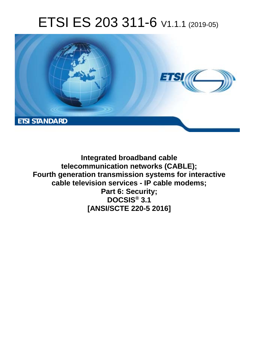# ETSI ES 203 311-6 V1.1.1 (2019-05)



**Integrated broadband cable telecommunication networks (CABLE); Fourth generation transmission systems for interactive cable television services - IP cable modems; Part 6: Security; DOCSIS® 3.1 [ANSI/SCTE 220-5 2016]**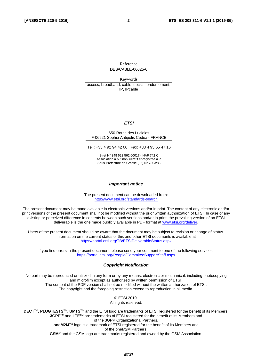Reference DES/CABLE-00025-6

Keywords access, broadband, cable, docsis, endorsement, IP, IPcable

#### *ETSI*

#### 650 Route des Lucioles F-06921 Sophia Antipolis Cedex - FRANCE

Tel.: +33 4 92 94 42 00 Fax: +33 4 93 65 47 16

Siret N° 348 623 562 00017 - NAF 742 C Association à but non lucratif enregistrée à la Sous-Préfecture de Grasse (06) N° 7803/88

#### *Important notice*

The present document can be downloaded from: <http://www.etsi.org/standards-search>

The present document may be made available in electronic versions and/or in print. The content of any electronic and/or print versions of the present document shall not be modified without the prior written authorization of ETSI. In case of any existing or perceived difference in contents between such versions and/or in print, the prevailing version of an ETSI deliverable is the one made publicly available in PDF format at [www.etsi.org/deliver](http://www.etsi.org/deliver).

Users of the present document should be aware that the document may be subject to revision or change of status. Information on the current status of this and other ETSI documents is available at <https://portal.etsi.org/TB/ETSIDeliverableStatus.aspx>

If you find errors in the present document, please send your comment to one of the following services: <https://portal.etsi.org/People/CommiteeSupportStaff.aspx>

#### *Copyright Notification*

No part may be reproduced or utilized in any form or by any means, electronic or mechanical, including photocopying and microfilm except as authorized by written permission of ETSI. The content of the PDF version shall not be modified without the written authorization of ETSI. The copyright and the foregoing restriction extend to reproduction in all media.

> © ETSI 2019. All rights reserved.

**DECT**TM, **PLUGTESTS**TM, **UMTS**TM and the ETSI logo are trademarks of ETSI registered for the benefit of its Members. **3GPP**TM and **LTE**TM are trademarks of ETSI registered for the benefit of its Members and of the 3GPP Organizational Partners. **oneM2M™** logo is a trademark of ETSI registered for the benefit of its Members and of the oneM2M Partners. **GSM**® and the GSM logo are trademarks registered and owned by the GSM Association.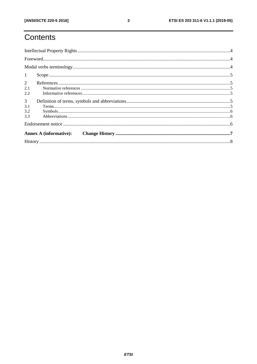# Contents

| 1              |           |  |  |  |  |
|----------------|-----------|--|--|--|--|
| $\overline{2}$ |           |  |  |  |  |
| 2.1            |           |  |  |  |  |
| 2.2            |           |  |  |  |  |
| $\mathfrak{Z}$ |           |  |  |  |  |
| 3.1            | Terms. 55 |  |  |  |  |
| 3.2            |           |  |  |  |  |
| 3.3            |           |  |  |  |  |
|                |           |  |  |  |  |
|                |           |  |  |  |  |
|                |           |  |  |  |  |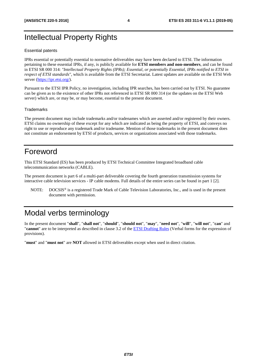# <span id="page-3-0"></span>Intellectual Property Rights

### Essential patents

IPRs essential or potentially essential to normative deliverables may have been declared to ETSI. The information pertaining to these essential IPRs, if any, is publicly available for **ETSI members and non-members**, and can be found in ETSI SR 000 314: *"Intellectual Property Rights (IPRs); Essential, or potentially Essential, IPRs notified to ETSI in respect of ETSI standards"*, which is available from the ETSI Secretariat. Latest updates are available on the ETSI Web server ([https://ipr.etsi.org/\)](https://ipr.etsi.org/).

Pursuant to the ETSI IPR Policy, no investigation, including IPR searches, has been carried out by ETSI. No guarantee can be given as to the existence of other IPRs not referenced in ETSI SR 000 314 (or the updates on the ETSI Web server) which are, or may be, or may become, essential to the present document.

#### **Trademarks**

The present document may include trademarks and/or tradenames which are asserted and/or registered by their owners. ETSI claims no ownership of these except for any which are indicated as being the property of ETSI, and conveys no right to use or reproduce any trademark and/or tradename. Mention of those trademarks in the present document does not constitute an endorsement by ETSI of products, services or organizations associated with those trademarks.

## Foreword

This ETSI Standard (ES) has been produced by ETSI Technical Committee Integrated broadband cable telecommunication networks (CABLE).

The present document is part 6 of a multi-part deliverable covering the fourth generation transmission systems for interactive cable television services - IP cable modems. Full details of the entire series can be found in part 1 [\[2](#page-4-0)].

NOTE: DOCSIS® is a registered Trade Mark of Cable Television Laboratories, Inc., and is used in the present document with permission.

## Modal verbs terminology

In the present document "**shall**", "**shall not**", "**should**", "**should not**", "**may**", "**need not**", "**will**", "**will not**", "**can**" and "**cannot**" are to be interpreted as described in clause 3.2 of the [ETSI Drafting Rules](https://portal.etsi.org/Services/editHelp!/Howtostart/ETSIDraftingRules.aspx) (Verbal forms for the expression of provisions).

"**must**" and "**must not**" are **NOT** allowed in ETSI deliverables except when used in direct citation.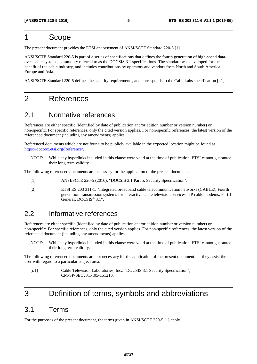# <span id="page-4-0"></span>1 Scope

The present document provides the ETSI endorsement of ANSI/SCTE Standard 220-5 [1].

ANSI/SCTE Standard 220-5 is part of a series of specifications that defines the fourth generation of high-speed dataover-cable systems, commonly referred to as the DOCSIS 3.1 specifications. The standard was developed for the benefit of the cable industry, and includes contributions by operators and vendors from North and South America, Europe and Asia.

ANSI/SCTE Standard 220-5 defines the security requirements, and corresponds to the CableLabs specification [i.1].

# 2 References

### 2.1 Normative references

References are either specific (identified by date of publication and/or edition number or version number) or non-specific. For specific references, only the cited version applies. For non-specific references, the latest version of the referenced document (including any amendments) applies.

Referenced documents which are not found to be publicly available in the expected location might be found at <https://docbox.etsi.org/Reference/>.

NOTE: While any hyperlinks included in this clause were valid at the time of publication, ETSI cannot guarantee their long term validity.

The following referenced documents are necessary for the application of the present document.

- [1] ANSI/SCTE 220-5 (2016): "DOCSIS 3.1 Part 5: Security Specification".
- [2] ETSI ES 203 311-1: "Integrated broadband cable telecommunication networks (CABLE); Fourth generation transmission systems for interactive cable television services - IP cable modems; Part 1: General; DOCSIS® 3.1".

### 2.2 Informative references

References are either specific (identified by date of publication and/or edition number or version number) or non-specific. For specific references, only the cited version applies. For non-specific references, the latest version of the referenced document (including any amendments) applies.

NOTE: While any hyperlinks included in this clause were valid at the time of publication, ETSI cannot guarantee their long term validity.

The following referenced documents are not necessary for the application of the present document but they assist the user with regard to a particular subject area.

[i.1] Cable Television Laboratories, Inc.: "DOCSIS 3.1 Security Specification", CM-SP-SECv3.1-I05-151210.

# 3 Definition of terms, symbols and abbreviations

### 3.1 Terms

For the purposes of the present document, the terms given in ANSI/SCTE 220-5 [1] apply.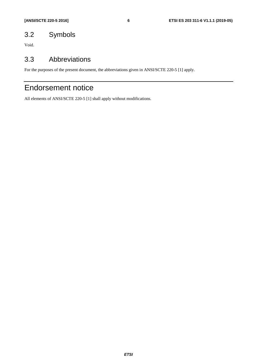# <span id="page-5-0"></span>3.2 Symbols

Void.

### 3.3 Abbreviations

For the purposes of the present document, the abbreviations given in ANSI/SCTE 220-5 [\[1](#page-4-0)] apply.

# Endorsement notice

All elements of ANSI/SCTE 220-5 [\[1](#page-4-0)] shall apply without modifications.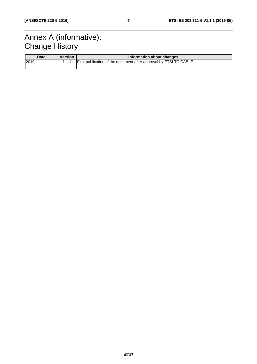# <span id="page-6-0"></span>Annex A (informative): **Change History**

| <b>Date</b> | <b>Version</b> | Information about changes                                         |  |
|-------------|----------------|-------------------------------------------------------------------|--|
| 2019        |                | First publication of the document after approval by ETSI TC CABLE |  |
|             |                |                                                                   |  |